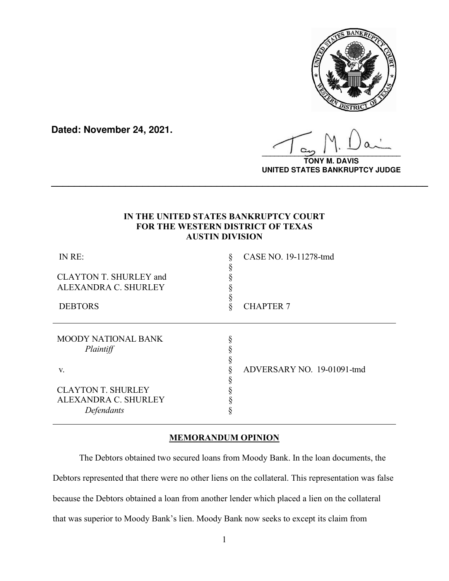

**Dated: November 24, 2021.**

**\_\_\_\_\_\_\_\_\_\_\_\_\_\_\_\_\_\_\_\_\_\_\_\_\_\_\_\_\_\_\_\_\_\_**

**TONY M. DAVIS UNITED STATES BANKRUPTCY JUDGE**

## **IN THE UNITED STATES BANKRUPTCY COURT FOR THE WESTERN DISTRICT OF TEXAS AUSTIN DIVISION**

**\_\_\_\_\_\_\_\_\_\_\_\_\_\_\_\_\_\_\_\_\_\_\_\_\_\_\_\_\_\_\_\_\_\_\_\_\_\_\_\_\_\_\_\_\_\_\_\_\_\_\_\_\_\_\_\_\_\_\_\_\_\_\_\_\_\_**

| IN RE:<br>CLAYTON T. SHURLEY and<br>ALEXANDRA C. SHURLEY               | CASE NO. 19-11278-tmd      |
|------------------------------------------------------------------------|----------------------------|
| <b>DEBTORS</b>                                                         | <b>CHAPTER 7</b>           |
| <b>MOODY NATIONAL BANK</b><br>Plaintiff                                |                            |
| V.                                                                     | ADVERSARY NO. 19-01091-tmd |
| <b>CLAYTON T. SHURLEY</b><br><b>ALEXANDRA C. SHURLEY</b><br>Defendants |                            |

# **MEMORANDUM OPINION**

 The Debtors obtained two secured loans from Moody Bank. In the loan documents, the Debtors represented that there were no other liens on the collateral. This representation was false because the Debtors obtained a loan from another lender which placed a lien on the collateral that was superior to Moody Bank's lien. Moody Bank now seeks to except its claim from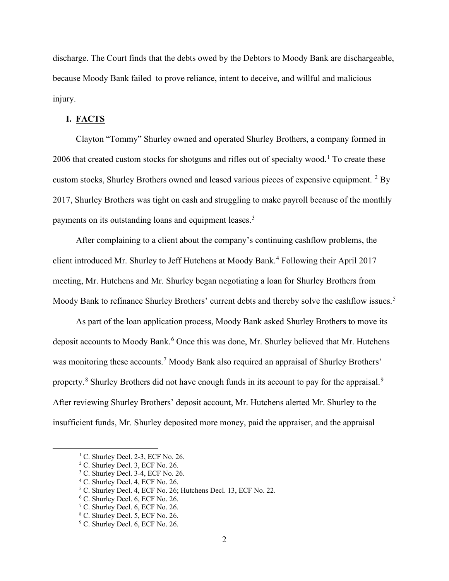discharge. The Court finds that the debts owed by the Debtors to Moody Bank are dischargeable, because Moody Bank failed to prove reliance, intent to deceive, and willful and malicious injury.

### **I. FACTS**

Clayton "Tommy" Shurley owned and operated Shurley Brothers, a company formed in 2006 that created custom stocks for shotguns and rifles out of specialty wood.<sup>[1](#page-1-0)</sup> To create these custom stocks, Shurley Brothers owned and leased various pieces of expensive equipment. <sup>[2](#page-1-1)</sup> By 2017, Shurley Brothers was tight on cash and struggling to make payroll because of the monthly payments on its outstanding loans and equipment leases.<sup>[3](#page-1-2)</sup>

After complaining to a client about the company's continuing cashflow problems, the client introduced Mr. Shurley to Jeff Hutchens at Moody Bank.[4](#page-1-3) Following their April 2017 meeting, Mr. Hutchens and Mr. Shurley began negotiating a loan for Shurley Brothers from Moody Bank to refinance Shurley Brothers' current debts and thereby solve the cashflow issues.<sup>[5](#page-1-4)</sup>

As part of the loan application process, Moody Bank asked Shurley Brothers to move its deposit accounts to Moody Bank.<sup>[6](#page-1-5)</sup> Once this was done, Mr. Shurley believed that Mr. Hutchens was monitoring these accounts.<sup>[7](#page-1-6)</sup> Moody Bank also required an appraisal of Shurley Brothers' property.<sup>[8](#page-1-7)</sup> Shurley Brothers did not have enough funds in its account to pay for the appraisal.<sup>[9](#page-1-8)</sup> After reviewing Shurley Brothers' deposit account, Mr. Hutchens alerted Mr. Shurley to the insufficient funds, Mr. Shurley deposited more money, paid the appraiser, and the appraisal

<span id="page-1-0"></span><sup>&</sup>lt;sup>1</sup> C. Shurley Decl. 2-3, ECF No. 26.

<sup>2</sup> C. Shurley Decl. 3, ECF No. 26.

<span id="page-1-2"></span><span id="page-1-1"></span><sup>&</sup>lt;sup>3</sup> C. Shurley Decl. 3-4, ECF No. 26.

<span id="page-1-4"></span><span id="page-1-3"></span><sup>4</sup> C. Shurley Decl. 4, ECF No. 26.

<sup>5</sup> C. Shurley Decl. 4, ECF No. 26; Hutchens Decl. 13, ECF No. 22.

<span id="page-1-5"></span><sup>6</sup> C. Shurley Decl. 6, ECF No. 26.

<span id="page-1-6"></span><sup>7</sup> C. Shurley Decl. 6, ECF No. 26.

<span id="page-1-7"></span><sup>8</sup> C. Shurley Decl. 5, ECF No. 26.

<span id="page-1-8"></span><sup>&</sup>lt;sup>9</sup> C. Shurley Decl. 6, ECF No. 26.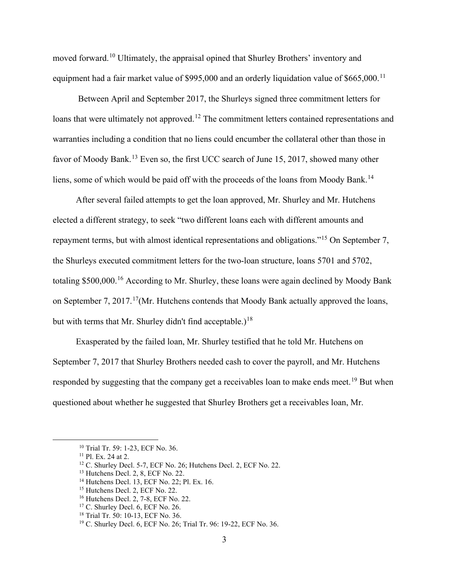moved forward.[10](#page-2-0) Ultimately, the appraisal opined that Shurley Brothers' inventory and equipment had a fair market value of \$995,000 and an orderly liquidation value of  $$665,000$ .<sup>[11](#page-2-1)</sup>

Between April and September 2017, the Shurleys signed three commitment letters for loans that were ultimately not approved.<sup>[12](#page-2-2)</sup> The commitment letters contained representations and warranties including a condition that no liens could encumber the collateral other than those in favor of Moody Bank.<sup>[13](#page-2-3)</sup> Even so, the first UCC search of June 15, 2017, showed many other liens, some of which would be paid off with the proceeds of the loans from Moody Bank.<sup>[14](#page-2-4)</sup>

After several failed attempts to get the loan approved, Mr. Shurley and Mr. Hutchens elected a different strategy, to seek "two different loans each with different amounts and repayment terms, but with almost identical representations and obligations."[15](#page-2-5) On September 7, the Shurleys executed commitment letters for the two-loan structure, loans 5701 and 5702, totaling \$500,000.<sup>[16](#page-2-6)</sup> According to Mr. Shurley, these loans were again declined by Moody Bank on September 7, 20[17](#page-2-7).<sup>17</sup>(Mr. Hutchens contends that Moody Bank actually approved the loans, but with terms that Mr. Shurley didn't find acceptable.)<sup>[18](#page-2-8)</sup>

Exasperated by the failed loan, Mr. Shurley testified that he told Mr. Hutchens on September 7, 2017 that Shurley Brothers needed cash to cover the payroll, and Mr. Hutchens responded by suggesting that the company get a receivables loan to make ends meet.<sup>[19](#page-2-9)</sup> But when questioned about whether he suggested that Shurley Brothers get a receivables loan, Mr.

<span id="page-2-1"></span><span id="page-2-0"></span><sup>10</sup> Trial Tr. 59: 1-23, ECF No. 36.

<span id="page-2-2"></span><sup>11</sup> Pl. Ex. 24 at 2.

<sup>&</sup>lt;sup>12</sup> C. Shurley Decl. 5-7, ECF No. 26; Hutchens Decl. 2, ECF No. 22.

<span id="page-2-3"></span><sup>13</sup> Hutchens Decl. 2, 8, ECF No. 22.

<span id="page-2-5"></span><span id="page-2-4"></span><sup>14</sup> Hutchens Decl. 13, ECF No. 22; Pl. Ex. 16.

<sup>&</sup>lt;sup>15</sup> Hutchens Decl. 2, ECF No. 22.

<span id="page-2-6"></span><sup>16</sup> Hutchens Decl. 2, 7-8, ECF No. 22.

<span id="page-2-7"></span><sup>&</sup>lt;sup>17</sup> C. Shurley Decl. 6, ECF No. 26.

<sup>&</sup>lt;sup>18</sup> Trial Tr. 50: 10-13, ECF No. 36.

<span id="page-2-9"></span><span id="page-2-8"></span><sup>19</sup> C. Shurley Decl. 6, ECF No. 26; Trial Tr. 96: 19-22, ECF No. 36.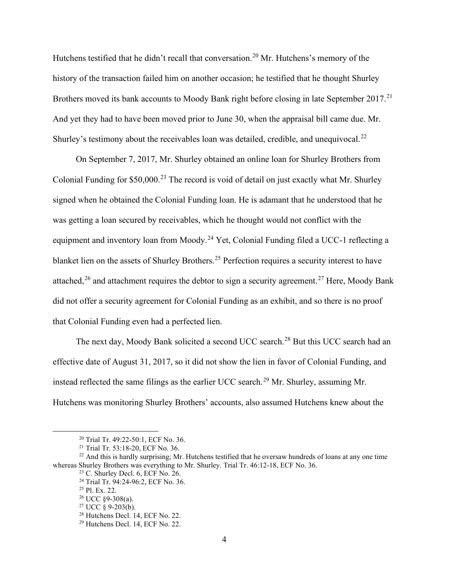Hutchens testified that he didn't recall that conversation.<sup>[20](#page-3-0)</sup> Mr. Hutchens's memory of the history of the transaction failed him on another occasion; he testified that he thought Shurley Brothers moved its bank accounts to Moody Bank right before closing in late September 2017.<sup>[21](#page-3-1)</sup> And yet they had to have been moved prior to June 30, when the appraisal bill came due. Mr. Shurley's testimony about the receivables loan was detailed, credible, and unequivocal.<sup>[22](#page-3-2)</sup>

On September 7, 2017, Mr. Shurley obtained an online loan for Shurley Brothers from Colonial Funding for \$50,000.<sup>[23](#page-3-3)</sup> The record is void of detail on just exactly what Mr. Shurley signed when he obtained the Colonial Funding loan. He is adamant that he understood that he was getting a loan secured by receivables, which he thought would not conflict with the equipment and inventory loan from Moody.<sup>[24](#page-3-4)</sup> Yet, Colonial Funding filed a UCC-1 reflecting a blanket lien on the assets of Shurley Brothers.<sup>[25](#page-3-5)</sup> Perfection requires a security interest to have attached,  $26$  and attachment requires the debtor to sign a security agreement.  $27$  Here, Moody Bank did not offer a security agreement for Colonial Funding as an exhibit, and so there is no proof that Colonial Funding even had a perfected lien.

The next day, Moody Bank solicited a second UCC search.[28](#page-3-8) But this UCC search had an effective date of August 31, 2017, so it did not show the lien in favor of Colonial Funding, and instead reflected the same filings as the earlier UCC search.<sup>[29](#page-3-9)</sup> Mr. Shurley, assuming Mr. Hutchens was monitoring Shurley Brothers' accounts, also assumed Hutchens knew about the

<sup>20</sup> Trial Tr. 49:22-50:1, ECF No. 36.

<sup>21</sup> Trial Tr. 53:18-20, ECF No. 36.

<span id="page-3-7"></span><span id="page-3-6"></span><span id="page-3-5"></span><span id="page-3-4"></span><span id="page-3-3"></span><span id="page-3-2"></span><span id="page-3-1"></span><span id="page-3-0"></span><sup>&</sup>lt;sup>22</sup> And this is hardly surprising; Mr. Hutchens testified that he oversaw hundreds of loans at any one time whereas Shurley Brothers was everything to Mr. Shurley. Trial Tr. 46:12-18, ECF No. 36.

<sup>23</sup> C. Shurley Decl. 6, ECF No. 26.

<sup>24</sup> Trial Tr. 94:24-96:2, ECF No. 36.

<sup>25</sup> Pl. Ex. 22.

 $26$  UCC  $\S$ 9-308(a).

 $27 \text{ UCC}$  § 9-203(b).

<span id="page-3-8"></span><sup>&</sup>lt;sup>28</sup> Hutchens Decl. 14, ECF No. 22.

<span id="page-3-9"></span><sup>29</sup> Hutchens Decl. 14, ECF No. 22.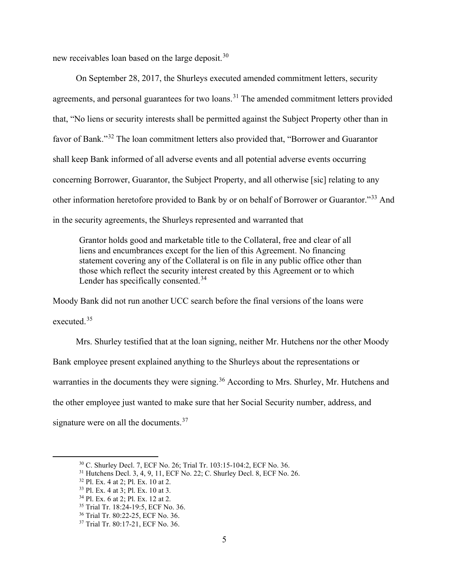new receivables loan based on the large deposit.<sup>[30](#page-4-0)</sup>

On September 28, 2017, the Shurleys executed amended commitment letters, security agreements, and personal guarantees for two loans.<sup>[31](#page-4-1)</sup> The amended commitment letters provided that, "No liens or security interests shall be permitted against the Subject Property other than in favor of Bank."[32](#page-4-2) The loan commitment letters also provided that, "Borrower and Guarantor shall keep Bank informed of all adverse events and all potential adverse events occurring concerning Borrower, Guarantor, the Subject Property, and all otherwise [sic] relating to any other information heretofore provided to Bank by or on behalf of Borrower or Guarantor."[33](#page-4-3) And in the security agreements, the Shurleys represented and warranted that

Grantor holds good and marketable title to the Collateral, free and clear of all liens and encumbrances except for the lien of this Agreement. No financing statement covering any of the Collateral is on file in any public office other than those which reflect the security interest created by this Agreement or to which Lender has specifically consented.<sup>[34](#page-4-4)</sup>

Moody Bank did not run another UCC search before the final versions of the loans were executed. [35](#page-4-5)

Mrs. Shurley testified that at the loan signing, neither Mr. Hutchens nor the other Moody Bank employee present explained anything to the Shurleys about the representations or warranties in the documents they were signing.<sup>[36](#page-4-6)</sup> According to Mrs. Shurley, Mr. Hutchens and the other employee just wanted to make sure that her Social Security number, address, and signature were on all the documents.<sup>[37](#page-4-7)</sup>

<sup>30</sup> C. Shurley Decl. 7, ECF No. 26; Trial Tr. 103:15-104:2, ECF No. 36.

<span id="page-4-2"></span><span id="page-4-1"></span><span id="page-4-0"></span><sup>&</sup>lt;sup>31</sup> Hutchens Decl. 3, 4, 9, 11, ECF No. 22; C. Shurley Decl. 8, ECF No. 26.

<sup>32</sup> Pl. Ex. 4 at 2; Pl. Ex. 10 at 2.

<span id="page-4-3"></span><sup>33</sup> Pl. Ex. 4 at 3; Pl. Ex. 10 at 3.

<span id="page-4-5"></span><span id="page-4-4"></span><sup>&</sup>lt;sup>34</sup> Pl. Ex. 6 at 2; Pl. Ex. 12 at 2.<br><sup>35</sup> Trial Tr. 18:24-19:5, ECF No. 36.

<span id="page-4-6"></span><sup>36</sup> Trial Tr. 80:22-25, ECF No. 36.

<span id="page-4-7"></span><sup>37</sup> Trial Tr. 80:17-21, ECF No. 36.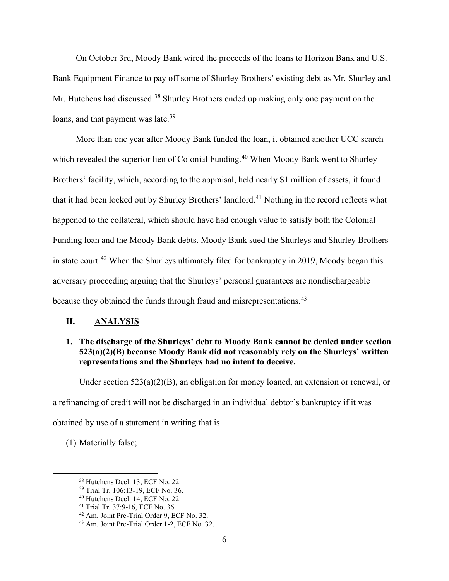On October 3rd, Moody Bank wired the proceeds of the loans to Horizon Bank and U.S. Bank Equipment Finance to pay off some of Shurley Brothers' existing debt as Mr. Shurley and Mr. Hutchens had discussed.<sup>[38](#page-5-0)</sup> Shurley Brothers ended up making only one payment on the loans, and that payment was late.<sup>[39](#page-5-1)</sup>

More than one year after Moody Bank funded the loan, it obtained another UCC search which revealed the superior lien of Colonial Funding.<sup>[40](#page-5-2)</sup> When Moody Bank went to Shurley Brothers' facility, which, according to the appraisal, held nearly \$1 million of assets, it found that it had been locked out by Shurley Brothers' landlord.<sup>[41](#page-5-3)</sup> Nothing in the record reflects what happened to the collateral, which should have had enough value to satisfy both the Colonial Funding loan and the Moody Bank debts. Moody Bank sued the Shurleys and Shurley Brothers in state court.<sup>[42](#page-5-4)</sup> When the Shurleys ultimately filed for bankruptcy in 2019, Moody began this adversary proceeding arguing that the Shurleys' personal guarantees are nondischargeable because they obtained the funds through fraud and misrepresentations.<sup>[43](#page-5-5)</sup>

## **II. ANALYSIS**

## **1. The discharge of the Shurleys' debt to Moody Bank cannot be denied under section 523(a)(2)(B) because Moody Bank did not reasonably rely on the Shurleys' written representations and the Shurleys had no intent to deceive.**

Under section 523(a)(2)(B), an obligation for money loaned, an extension or renewal, or

a refinancing of credit will not be discharged in an individual debtor's bankruptcy if it was

obtained by use of a statement in writing that is

<span id="page-5-0"></span>(1) Materially false;

<sup>38</sup> Hutchens Decl. 13, ECF No. 22.

<span id="page-5-1"></span><sup>39</sup> Trial Tr. 106:13-19, ECF No. 36.

<span id="page-5-2"></span><sup>&</sup>lt;sup>40</sup> Hutchens Decl. 14, ECF No. 22.<br><sup>41</sup> Trial Tr. 37:9-16, ECF No. 36.

<span id="page-5-3"></span>

<span id="page-5-5"></span><span id="page-5-4"></span> $42$  Am. Joint Pre-Trial Order 9, ECF No. 32.  $43$  Am. Joint Pre-Trial Order 1-2, ECF No. 32.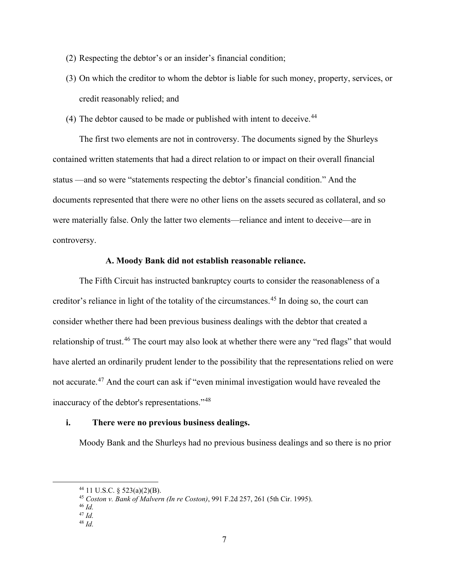- (2) Respecting the debtor's or an insider's financial condition;
- (3) On which the creditor to whom the debtor is liable for such money, property, services, or credit reasonably relied; and
- (4) The debtor caused to be made or published with intent to deceive.  $44$

The first two elements are not in controversy. The documents signed by the Shurleys contained written statements that had a direct relation to or impact on their overall financial status —and so were "statements respecting the debtor's financial condition." And the documents represented that there were no other liens on the assets secured as collateral, and so were materially false. Only the latter two elements—reliance and intent to deceive—are in controversy.

#### **A. Moody Bank did not establish reasonable reliance.**

The Fifth Circuit has instructed bankruptcy courts to consider the reasonableness of a creditor's reliance in light of the totality of the circumstances. [45](#page-6-1) In doing so, the court can consider whether there had been previous business dealings with the debtor that created a relationship of trust.<sup>[46](#page-6-2)</sup> The court may also look at whether there were any "red flags" that would have alerted an ordinarily prudent lender to the possibility that the representations relied on were not accurate.<sup>[47](#page-6-3)</sup> And the court can ask if "even minimal investigation would have revealed the inaccuracy of the debtor's representations."[48](#page-6-4)

### **i. There were no previous business dealings.**

Moody Bank and the Shurleys had no previous business dealings and so there is no prior

<span id="page-6-4"></span><sup>48</sup> *Id.* 

<span id="page-6-0"></span> $44$  11 U.S.C. § 523(a)(2)(B).

<sup>45</sup> *Coston v. Bank of Malvern (In re Coston)*, 991 F.2d 257, 261 (5th Cir. 1995).

<span id="page-6-3"></span><span id="page-6-2"></span><span id="page-6-1"></span><sup>46</sup> *Id.*

<sup>47</sup> *Id.*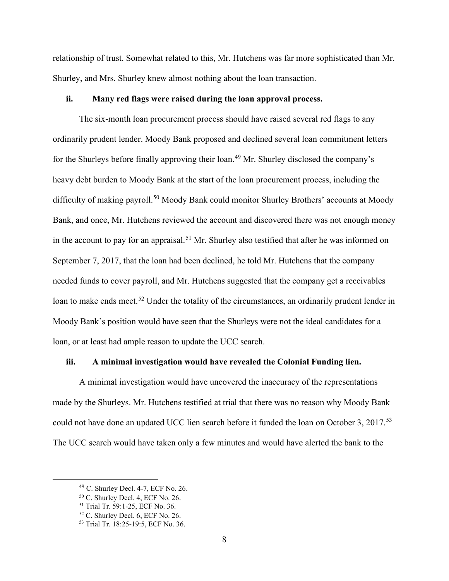relationship of trust. Somewhat related to this, Mr. Hutchens was far more sophisticated than Mr. Shurley, and Mrs. Shurley knew almost nothing about the loan transaction.

#### **ii. Many red flags were raised during the loan approval process.**

The six-month loan procurement process should have raised several red flags to any ordinarily prudent lender. Moody Bank proposed and declined several loan commitment letters for the Shurleys before finally approving their loan. [49](#page-7-0) Mr. Shurley disclosed the company's heavy debt burden to Moody Bank at the start of the loan procurement process, including the difficulty of making payroll.<sup>[50](#page-7-1)</sup> Moody Bank could monitor Shurley Brothers' accounts at Moody Bank, and once, Mr. Hutchens reviewed the account and discovered there was not enough money in the account to pay for an appraisal.<sup>[51](#page-7-2)</sup> Mr. Shurley also testified that after he was informed on September 7, 2017, that the loan had been declined, he told Mr. Hutchens that the company needed funds to cover payroll, and Mr. Hutchens suggested that the company get a receivables loan to make ends meet.<sup>[52](#page-7-3)</sup> Under the totality of the circumstances, an ordinarily prudent lender in Moody Bank's position would have seen that the Shurleys were not the ideal candidates for a loan, or at least had ample reason to update the UCC search.

### **iii. A minimal investigation would have revealed the Colonial Funding lien.**

A minimal investigation would have uncovered the inaccuracy of the representations made by the Shurleys. Mr. Hutchens testified at trial that there was no reason why Moody Bank could not have done an updated UCC lien search before it funded the loan on October 3, 2017.<sup>[53](#page-7-4)</sup> The UCC search would have taken only a few minutes and would have alerted the bank to the

<span id="page-7-1"></span><span id="page-7-0"></span><sup>49</sup> C. Shurley Decl. 4-7, ECF No. 26.

<span id="page-7-2"></span><sup>&</sup>lt;sup>50</sup> C. Shurley Decl. 4, ECF No. 26.<br><sup>51</sup> Trial Tr. 59:1-25, ECF No. 36.

<span id="page-7-3"></span> $52$  C. Shurley Decl. 6, ECF No. 26.

<span id="page-7-4"></span><sup>53</sup> Trial Tr. 18:25-19:5, ECF No. 36.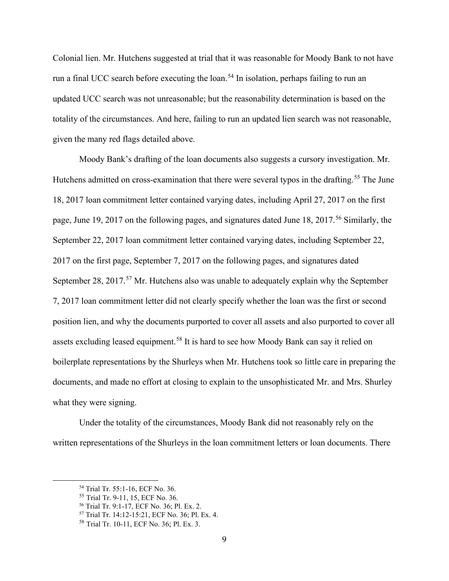Colonial lien. Mr. Hutchens suggested at trial that it was reasonable for Moody Bank to not have run a final UCC search before executing the loan.<sup>[54](#page-8-0)</sup> In isolation, perhaps failing to run an updated UCC search was not unreasonable; but the reasonability determination is based on the totality of the circumstances. And here, failing to run an updated lien search was not reasonable, given the many red flags detailed above.

Moody Bank's drafting of the loan documents also suggests a cursory investigation. Mr. Hutchens admitted on cross-examination that there were several typos in the drafting.<sup>[55](#page-8-1)</sup> The June 18, 2017 loan commitment letter contained varying dates, including April 27, 2017 on the first page, June 19, 2017 on the following pages, and signatures dated June 18, 2017.<sup>[56](#page-8-2)</sup> Similarly, the September 22, 2017 loan commitment letter contained varying dates, including September 22, 2017 on the first page, September 7, 2017 on the following pages, and signatures dated September 28, 2017.<sup>[57](#page-8-3)</sup> Mr. Hutchens also was unable to adequately explain why the September 7, 2017 loan commitment letter did not clearly specify whether the loan was the first or second position lien, and why the documents purported to cover all assets and also purported to cover all assets excluding leased equipment.<sup>[58](#page-8-4)</sup> It is hard to see how Moody Bank can say it relied on boilerplate representations by the Shurleys when Mr. Hutchens took so little care in preparing the documents, and made no effort at closing to explain to the unsophisticated Mr. and Mrs. Shurley what they were signing.

Under the totality of the circumstances, Moody Bank did not reasonably rely on the written representations of the Shurleys in the loan commitment letters or loan documents. There

<span id="page-8-1"></span><span id="page-8-0"></span><sup>&</sup>lt;sup>54</sup> Trial Tr. 55:1-16, ECF No. 36.<br><sup>55</sup> Trial Tr. 9-11, 15, ECF No. 36.

<span id="page-8-2"></span><sup>&</sup>lt;sup>56</sup> Trial Tr. 9:1-17, ECF No. 36; Pl. Ex. 2.

<span id="page-8-3"></span><sup>57</sup> Trial Tr. 14:12-15:21, ECF No. 36; Pl. Ex. 4.

<span id="page-8-4"></span><sup>58</sup> Trial Tr. 10-11, ECF No. 36; Pl. Ex. 3.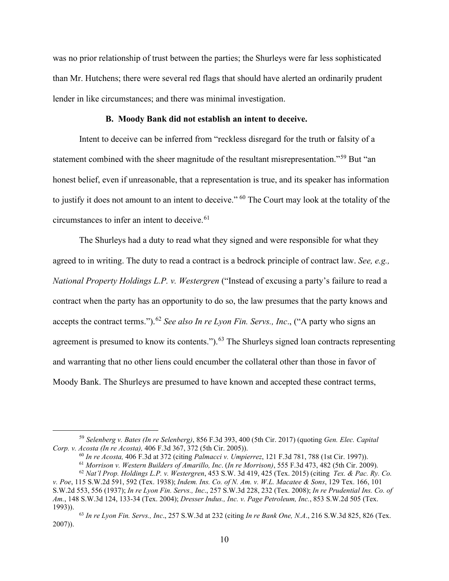was no prior relationship of trust between the parties; the Shurleys were far less sophisticated than Mr. Hutchens; there were several red flags that should have alerted an ordinarily prudent lender in like circumstances; and there was minimal investigation.

#### **B. Moody Bank did not establish an intent to deceive.**

Intent to deceive can be inferred from "reckless disregard for the truth or falsity of a statement combined with the sheer magnitude of the resultant misrepresentation."[59](#page-9-0) But "an honest belief, even if unreasonable, that a representation is true, and its speaker has information to justify it does not amount to an intent to deceive." [60](#page-9-1) The Court may look at the totality of the circumstances to infer an intent to deceive.<sup>[61](#page-9-2)</sup>

The Shurleys had a duty to read what they signed and were responsible for what they agreed to in writing. The duty to read a contract is a bedrock principle of contract law. *See, e.g., National Property Holdings L.P. v. Westergren* ("Instead of excusing a party's failure to read a contract when the party has an opportunity to do so, the law presumes that the party knows and accepts the contract terms.").<sup>[62](#page-9-3)</sup> *See also In re Lyon Fin. Servs., Inc.*, ("A party who signs an agreement is presumed to know its contents.").<sup>[63](#page-9-4)</sup> The Shurleys signed loan contracts representing and warranting that no other liens could encumber the collateral other than those in favor of Moody Bank. The Shurleys are presumed to have known and accepted these contract terms,

<span id="page-9-1"></span><span id="page-9-0"></span><sup>59</sup> *Selenberg v. Bates (In re Selenberg)*, 856 F.3d 393, 400 (5th Cir. 2017) (quoting *Gen. Elec. Capital Corp. v. Acosta (In re Acosta),* 406 F.3d 367, 372 (5th Cir. 2005)).

<sup>60</sup> *In re Acosta,* 406 F.3d at 372 (citing *Palmacci v. Umpierrez*, 121 F.3d 781, 788 (1st Cir. 1997)).

<sup>61</sup> *Morrison v. Western Builders of Amarillo, Inc*. (*In re Morrison)*, 555 F.3d 473, 482 (5th Cir. 2009).

<sup>62</sup> *Nat'l Prop. Holdings L.P. v. Westergren*, 453 S.W. 3d 419, 425 (Tex. 2015) (citing *Tex. & Pac. Ry. Co.* 

<span id="page-9-3"></span><span id="page-9-2"></span>*v. Poe*, 115 S.W.2d 591, 592 (Tex. 1938); *Indem. Ins. Co. of N. Am. v. W.L. Macatee & Sons*, 129 Tex. 166, 101 S.W.2d 553, 556 (1937); *In re Lyon Fin. Servs., Inc*., 257 S.W.3d 228, 232 (Tex. 2008); *In re Prudential Ins. Co. of Am.*, 148 S.W.3d 124, 133-34 (Tex. 2004); *Dresser Indus., Inc. v. Page Petroleum, Inc.*, 853 S.W.2d 505 (Tex. 1993)).

<span id="page-9-4"></span><sup>63</sup> *In re Lyon Fin. Servs., Inc*., 257 S.W.3d at 232 (citing *In re Bank One, N.A*., 216 S.W.3d 825, 826 (Tex. 2007)).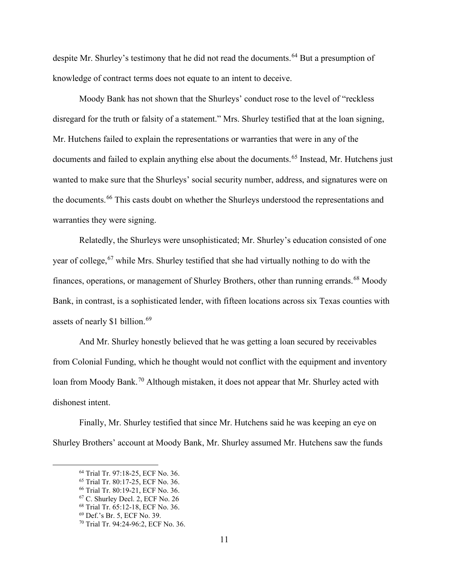despite Mr. Shurley's testimony that he did not read the documents.<sup>[64](#page-10-0)</sup> But a presumption of knowledge of contract terms does not equate to an intent to deceive.

Moody Bank has not shown that the Shurleys' conduct rose to the level of "reckless disregard for the truth or falsity of a statement." Mrs. Shurley testified that at the loan signing, Mr. Hutchens failed to explain the representations or warranties that were in any of the documents and failed to explain anything else about the documents. [65](#page-10-1) Instead, Mr. Hutchens just wanted to make sure that the Shurleys' social security number, address, and signatures were on the documents.<sup>[66](#page-10-2)</sup> This casts doubt on whether the Shurleys understood the representations and warranties they were signing.

Relatedly, the Shurleys were unsophisticated; Mr. Shurley's education consisted of one year of college, <sup>[67](#page-10-3)</sup> while Mrs. Shurley testified that she had virtually nothing to do with the finances, operations, or management of Shurley Brothers, other than running errands.<sup>[68](#page-10-4)</sup> Moody Bank, in contrast, is a sophisticated lender, with fifteen locations across six Texas counties with assets of nearly \$1 billion.<sup>[69](#page-10-5)</sup>

And Mr. Shurley honestly believed that he was getting a loan secured by receivables from Colonial Funding, which he thought would not conflict with the equipment and inventory loan from Moody Bank.<sup>[70](#page-10-6)</sup> Although mistaken, it does not appear that Mr. Shurley acted with dishonest intent.

<span id="page-10-1"></span><span id="page-10-0"></span>Finally, Mr. Shurley testified that since Mr. Hutchens said he was keeping an eye on Shurley Brothers' account at Moody Bank, Mr. Shurley assumed Mr. Hutchens saw the funds

<sup>&</sup>lt;sup>64</sup> Trial Tr. 97:18-25, ECF No. 36.<br><sup>65</sup> Trial Tr. 80:17-25, ECF No. 36.

<span id="page-10-2"></span><sup>&</sup>lt;sup>66</sup> Trial Tr. 80:19-21, ECF No. 36.

<span id="page-10-3"></span><sup>67</sup> C. Shurley Decl. 2, ECF No. 26

<span id="page-10-4"></span><sup>68</sup> Trial Tr. 65:12-18, ECF No. 36.

<span id="page-10-5"></span><sup>69</sup> Def.'s Br. 5, ECF No. 39.

<span id="page-10-6"></span><sup>70</sup> Trial Tr. 94:24-96:2, ECF No. 36.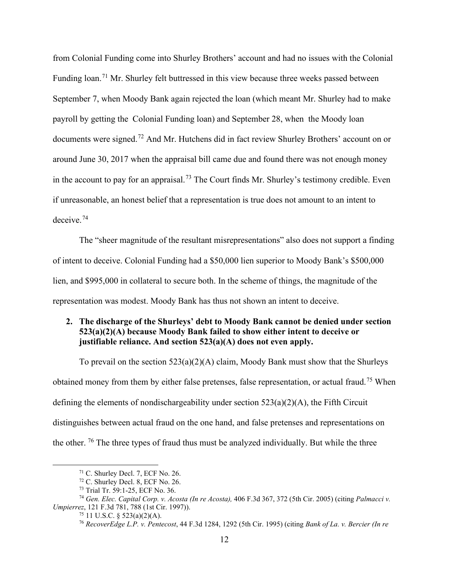from Colonial Funding come into Shurley Brothers' account and had no issues with the Colonial Funding loan.<sup>[71](#page-11-0)</sup> Mr. Shurley felt buttressed in this view because three weeks passed between September 7, when Moody Bank again rejected the loan (which meant Mr. Shurley had to make payroll by getting the Colonial Funding loan) and September 28, when the Moody loan documents were signed.<sup>[72](#page-11-1)</sup> And Mr. Hutchens did in fact review Shurley Brothers' account on or around June 30, 2017 when the appraisal bill came due and found there was not enough money in the account to pay for an appraisal.<sup>[73](#page-11-2)</sup> The Court finds Mr. Shurley's testimony credible. Even if unreasonable, an honest belief that a representation is true does not amount to an intent to deceive.[74](#page-11-3)

The "sheer magnitude of the resultant misrepresentations" also does not support a finding of intent to deceive. Colonial Funding had a \$50,000 lien superior to Moody Bank's \$500,000 lien, and \$995,000 in collateral to secure both. In the scheme of things, the magnitude of the representation was modest. Moody Bank has thus not shown an intent to deceive.

## **2. The discharge of the Shurleys' debt to Moody Bank cannot be denied under section 523(a)(2)(A) because Moody Bank failed to show either intent to deceive or justifiable reliance. And section 523(a)(A) does not even apply.**

To prevail on the section 523(a)(2)(A) claim, Moody Bank must show that the Shurleys obtained money from them by either false pretenses, false representation, or actual fraud.[75](#page-11-4) When defining the elements of nondischargeability under section 523(a)(2)(A), the Fifth Circuit distinguishes between actual fraud on the one hand, and false pretenses and representations on the other.  $76$  The three types of fraud thus must be analyzed individually. But while the three

<sup>71</sup> C. Shurley Decl. 7, ECF No. 26.

<sup>72</sup> C. Shurley Decl. 8, ECF No. 26.

<sup>73</sup> Trial Tr. 59:1-25, ECF No. 36.

<span id="page-11-5"></span><span id="page-11-4"></span><span id="page-11-3"></span><span id="page-11-2"></span><span id="page-11-1"></span><span id="page-11-0"></span><sup>74</sup> *Gen. Elec. Capital Corp. v. Acosta (In re Acosta),* 406 F.3d 367, 372 (5th Cir. 2005) (citing *Palmacci v. Umpierrez*, 121 F.3d 781, 788 (1st Cir. 1997)).

 $75$  11 U.S.C. § 523(a)(2)(A).

<sup>76</sup> *RecoverEdge L.P. v. Pentecost*, 44 F.3d 1284, 1292 (5th Cir. 1995) (citing *Bank of La. v. Bercier (In re*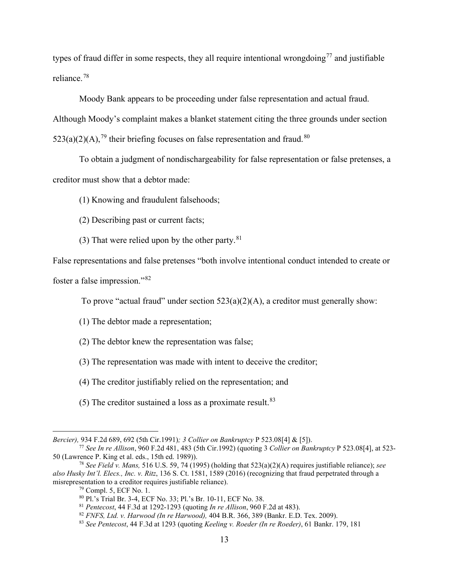types of fraud differ in some respects, they all require intentional wrongdoing<sup>[77](#page-12-0)</sup> and justifiable reliance.[78](#page-12-1)

Moody Bank appears to be proceeding under false representation and actual fraud. Although Moody's complaint makes a blanket statement citing the three grounds under [section](https://plus.lexis.com/document/?pdmfid=1530671&crid=87d257ed-b737-4cc5-8112-5a2935af80c0&pdactivityid=709a583d-43e4-4c2b-aadd-7dea8dd4a136&pdtargetclientid=-None-&ecomp=wnsk)   $523(a)(2)(A)$ ,<sup>[79](#page-12-2)</sup> their briefing focuses on false representation and fraud.<sup>[80](#page-12-3)</sup>

To obtain a judgment of nondischargeability for false representation or false pretenses, a creditor must show that a debtor made:

(1) Knowing and fraudulent falsehoods;

- (2) Describing past or current facts;
- (3) That were relied upon by the other party. $81$

False representations and false pretenses "both involve intentional conduct intended to create or foster a false impression."[82](#page-12-5)

To prove "actual fraud" under section  $523(a)(2)(A)$ , a creditor must generally show:

- (1) The debtor made a representation;
- (2) The debtor knew the representation was false;
- (3) The representation was made with intent to deceive the creditor;
- (4) The creditor justifiably relied on the representation; and
- (5) The creditor sustained a loss as a proximate result. $83$

*Bercier),* 934 F.2d 689, 692 (5th Cir.1991)*; 3 Collier on Bankruptcy* P 523.08[4] & [5]).

<span id="page-12-0"></span><sup>77</sup> *See In re Allison*, 960 F.2d 481, 483 (5th Cir.1992) (quoting 3 *Collier on Bankruptcy* P 523.08[4], at 523- 50 (Lawrence P. King et al. eds., 15th ed. 1989)).

<span id="page-12-5"></span><span id="page-12-4"></span><span id="page-12-3"></span><span id="page-12-2"></span><span id="page-12-1"></span><sup>78</sup> *See Field v. Mans,* 516 U.S. 59, 74 (1995) (holding that 523(a)(2)(A) requires justifiable reliance); *see also Husky Int'l. Elecs., Inc. v. Ritz*, 136 S. Ct. 1581, 1589 (2016) (recognizing that fraud perpetrated through a misrepresentation to a creditor requires justifiable reliance).<br><sup>79</sup> Compl. 5, ECF No. 1.

<sup>&</sup>lt;sup>80</sup> Pl.'s Trial Br. 3-4, ECF No. 33; Pl.'s Br. 10-11, ECF No. 38.<br><sup>81</sup> Pentecost, 44 F.3d at 1292-1293 (quoting *In re Allison*, 960 F.2d at 483).

<sup>&</sup>lt;sup>82</sup> FNFS, Ltd. v. Harwood (In re Harwood), 404 B.R. 366, 389 (Bankr. E.D. Tex. 2009).

<span id="page-12-6"></span><sup>83</sup> *See Pentecost*, 44 F.3d at 1293 (quoting *Keeling v. Roeder (In re Roeder)*, 61 Bankr. 179, 181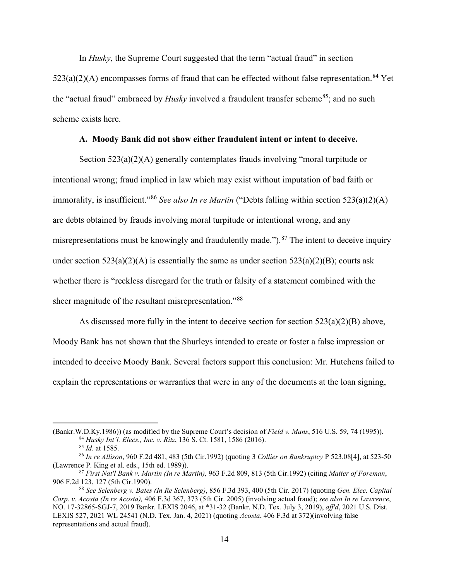In *Husky*, the Supreme Court suggested that the term "actual fraud" in [section](https://1.next.westlaw.com/Link/Document/FullText?findType=L&pubNum=1000546&cite=11USCAS523&originatingDoc=Ibf74c7009b1511e89fc9c0a8a8f09d21&refType=RB&originationContext=document&transitionType=DocumentItem&ppcid=39faa058cd4e423cbd1a7355a8641cb4&contextData=(sc.UserEnteredCitation)#co_pp_b5120000f7a05)   $523(a)(2)(A)$  encompasses forms of fraud that can be effected without false representation.<sup>[84](#page-13-0)</sup> Yet the "actual fraud" embraced by *Husky* involved a fraudulent transfer scheme<sup>85</sup>; and no such scheme exists here.

### **A. Moody Bank did not show either fraudulent intent or intent to deceive.**

Section  $523(a)(2)(A)$  generally contemplates frauds involving "moral turpitude or intentional wrong; fraud implied in law which may exist without imputation of bad faith or immorality, is insufficient."[86](#page-13-2) *See also In re Martin* ("Debts falling within section 523(a)(2)(A) are debts obtained by frauds involving moral turpitude or intentional wrong, and any misrepresentations must be knowingly and fraudulently made.").<sup>[87](#page-13-3)</sup> The intent to deceive inquiry under section  $523(a)(2)(A)$  is essentially the same as under section  $523(a)(2)(B)$ ; courts ask whether there is "reckless disregard for the truth or falsity of a statement combined with the sheer magnitude of the resultant misrepresentation."<sup>[88](#page-13-4)</sup>

As discussed more fully in the intent to deceive section for section 523(a)(2)(B) above, Moody Bank has not shown that the Shurleys intended to create or foster a false impression or intended to deceive Moody Bank. Several factors support this conclusion: Mr. Hutchens failed to explain the representations or warranties that were in any of the documents at the loan signing,

<span id="page-13-1"></span><span id="page-13-0"></span><sup>(</sup>Bankr.W.D.Ky.1986)) (as modified by the Supreme Court's decision of *Field v. Mans*, 516 U.S. 59, 74 (1995)).<br><sup>84</sup> Husky Int'l. Elecs., Inc. v. Ritz, 136 S. Ct. 1581, 1586 (2016).<br><sup>85</sup> Id. at 1585.<br><sup>86</sup> In re Allison, 960

<span id="page-13-2"></span>

<span id="page-13-3"></span><sup>(</sup>Lawrence P. King et al. eds., 15th ed. 1989)). 87 *First Nat'l Bank v. Martin (In re Martin),* 963 F.2d 809, 813 (5th Cir.1992) (citing *Matter of Foreman*, 906 F.2d 123, 127 (5th Cir.1990).

<span id="page-13-4"></span><sup>88</sup> *See Selenberg v. Bates (In Re Selenberg)*, 856 F.3d 393, 400 (5th Cir. 2017) (quoting *Gen. Elec. Capital Corp. v. Acosta (In re Acosta),* 406 F.3d 367, 373 (5th Cir. 2005) (involving actual fraud); *see also In re Lawrence*, NO. 17-32865-SGJ-7, 2019 Bankr. LEXIS 2046, at \*31-32 (Bankr. N.D. Tex. July 3, 2019), *aff'd*, 2021 U.S. Dist. LEXIS 527, 2021 WL 24541 (N.D. Tex. Jan. 4, 2021) (quoting *Acosta*, 406 F.3d at 372)(involving false representations and actual fraud).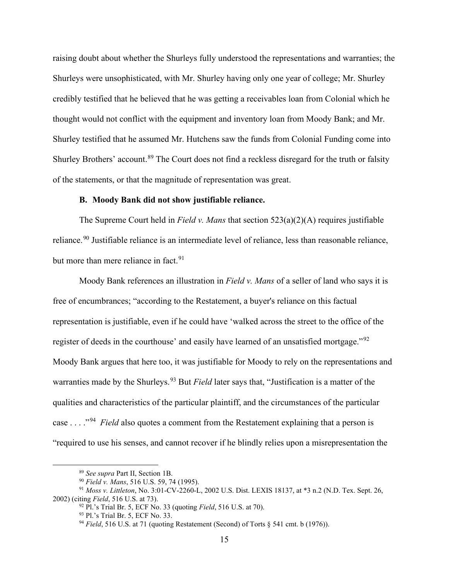raising doubt about whether the Shurleys fully understood the representations and warranties; the Shurleys were unsophisticated, with Mr. Shurley having only one year of college; Mr. Shurley credibly testified that he believed that he was getting a receivables loan from Colonial which he thought would not conflict with the equipment and inventory loan from Moody Bank; and Mr. Shurley testified that he assumed Mr. Hutchens saw the funds from Colonial Funding come into Shurley Brothers' account.<sup>[89](#page-14-0)</sup> The Court does not find a reckless disregard for the truth or falsity of the statements, or that the magnitude of representation was great.

#### **B. Moody Bank did not show justifiable reliance.**

The Supreme Court held in *Field v. Mans* that section 523(a)(2)(A) requires justifiable reliance.<sup>[90](#page-14-1)</sup> Justifiable reliance is an intermediate level of reliance, less than reasonable reliance, but more than mere reliance in fact.<sup>[91](#page-14-2)</sup>

Moody Bank references an illustration in *Field v. Mans* of a seller of land who says it is free of encumbrances; "according to the Restatement, a buyer's reliance on this factual representation is justifiable, even if he could have 'walked across the street to the office of the register of deeds in the courthouse' and easily have learned of an unsatisfied mortgage."<sup>[92](#page-14-3)</sup> Moody Bank argues that here too, it was justifiable for Moody to rely on the representations and warranties made by the Shurleys. [93](#page-14-4) But *Field* later says that, "Justification is a matter of the qualities and characteristics of the particular plaintiff, and the circumstances of the particular case . . . ."[94](#page-14-5) *Field* also quotes a comment from the Restatement explaining that a person is "required to use his senses, and cannot recover if he blindly relies upon a misrepresentation the

<sup>89</sup> *See supra* Part II, Section 1B.

<sup>90</sup> *Field v. Mans*, 516 U.S. 59, 74 (1995).

<span id="page-14-5"></span><span id="page-14-4"></span><span id="page-14-3"></span><span id="page-14-2"></span><span id="page-14-1"></span><span id="page-14-0"></span><sup>91</sup> *Moss v. Littleton*, No. 3:01-CV-2260-L, 2002 U.S. Dist. LEXIS 18137, at \*3 n.2 (N.D. Tex. Sept. 26, 2002) (citing *Field*, 516 U.S. at 73).

<sup>92</sup> Pl.'s Trial Br. 5, ECF No. 33 (quoting *Field*, 516 U.S. at 70).

<sup>93</sup> Pl.'s Trial Br. 5, ECF No. 33.

<sup>&</sup>lt;sup>94</sup> *Field*, 516 U.S. at 71 (quoting Restatement (Second) of Torts § 541 cmt. b (1976)).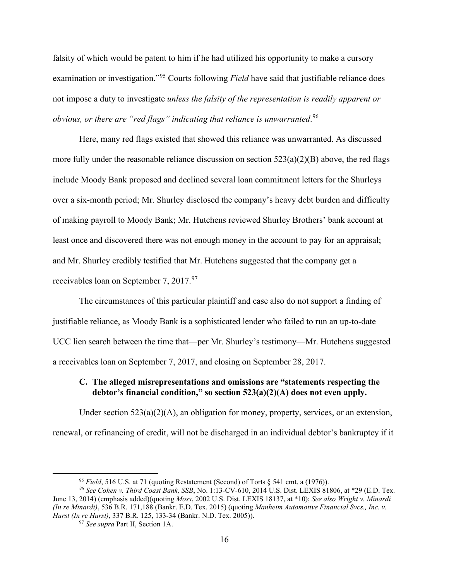falsity of which would be patent to him if he had utilized his opportunity to make a cursory examination or investigation."[95](#page-15-0) Courts following *Field* have said that justifiable reliance does not impose a duty to investigate *unless the falsity of the representation is readily apparent or obvious, or there are "red flags" indicating that reliance is unwarranted*. [96](#page-15-1)

Here, many red flags existed that showed this reliance was unwarranted. As discussed more fully under the reasonable reliance discussion on section  $523(a)(2)(B)$  above, the red flags include Moody Bank proposed and declined several loan commitment letters for the Shurleys over a six-month period; Mr. Shurley disclosed the company's heavy debt burden and difficulty of making payroll to Moody Bank; Mr. Hutchens reviewed Shurley Brothers' bank account at least once and discovered there was not enough money in the account to pay for an appraisal; and Mr. Shurley credibly testified that Mr. Hutchens suggested that the company get a receivables loan on September 7, 2017.<sup>[97](#page-15-2)</sup>

The circumstances of this particular plaintiff and case also do not support a finding of justifiable reliance, as Moody Bank is a sophisticated lender who failed to run an up-to-date UCC lien search between the time that—per Mr. Shurley's testimony—Mr. Hutchens suggested a receivables loan on September 7, 2017, and closing on September 28, 2017.

### **C. The alleged misrepresentations and omissions are "statements respecting the debtor's financial condition," so section 523(a)(2)(A) does not even apply.**

Under section 523(a)(2)(A), an obligation for money, property, services, or an extension, renewal, or refinancing of credit, will not be discharged in an individual debtor's bankruptcy if it

<sup>95</sup> *Field*, 516 U.S. at 71 (quoting Restatement (Second) of Torts § 541 cmt. a (1976)).

<span id="page-15-2"></span><span id="page-15-1"></span><span id="page-15-0"></span>*<sup>96</sup> See Cohen v. Third Coast Bank, SSB*, No. 1:13-CV-610, 2014 U.S. Dist. LEXIS 81806, at \*29 (E.D. Tex. June 13, 2014) (emphasis added)(quoting *Moss*, 2002 U.S. Dist. LEXIS 18137, at \*10); *See also Wright v. Minardi (In re Minardi)*, 536 B.R. 171,188 (Bankr. E.D. Tex. 2015) (quoting *Manheim Automotive Financial Svcs., Inc. v. Hurst (In re Hurst)*, 337 B.R. 125, 133-34 (Bankr. N.D. Tex. 2005)). 97 *See supra* Part II, Section 1A.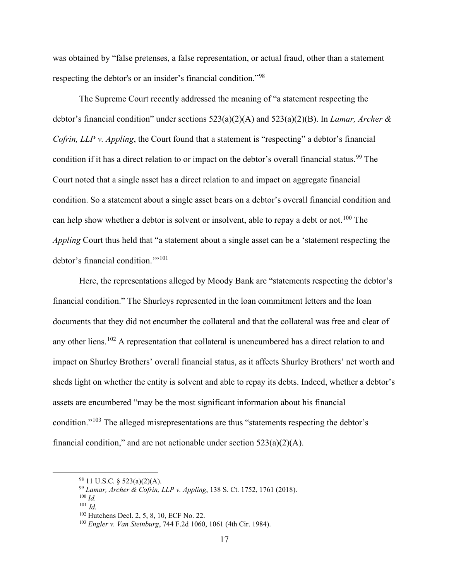was obtained by "false pretenses, a false representation, or actual fraud, other than a statement respecting the debtor's or an insider's financial condition."[98](#page-16-0)

The Supreme Court recently addressed the meaning of "a statement respecting the debtor's financial condition" under sections 523(a)(2)(A) and 523(a)(2)(B). In *Lamar, Archer & Cofrin, LLP v. Appling*, the Court found that a statement is "respecting" a debtor's financial condition if it has a direct relation to or impact on the debtor's overall financial status.<sup>[99](#page-16-1)</sup> The Court noted that a single asset has a direct relation to and impact on aggregate financial condition. So a statement about a single asset bears on a debtor's overall financial condition and can help show whether a debtor is solvent or insolvent, able to repay a debt or not.<sup>[100](#page-16-2)</sup> The *Appling* Court thus held that "a statement about a single asset can be a 'statement respecting the debtor's financial condition."<sup>[101](#page-16-3)</sup>

Here, the representations alleged by Moody Bank are "statements respecting the debtor's financial condition." The Shurleys represented in the loan commitment letters and the loan documents that they did not encumber the collateral and that the collateral was free and clear of any other liens.<sup>[102](#page-16-4)</sup> A representation that collateral is unencumbered has a direct relation to and impact on Shurley Brothers' overall financial status, as it affects Shurley Brothers' net worth and sheds light on whether the entity is solvent and able to repay its debts. Indeed, whether a debtor's assets are encumbered "may be the most significant information about his financial condition."<sup>[103](#page-16-5)</sup> The alleged misrepresentations are thus "statements respecting the debtor's financial condition," and are not actionable under section  $523(a)(2)(A)$ .

<span id="page-16-0"></span> $98$  11 U.S.C. § 523(a)(2)(A).

<sup>99</sup> *Lamar, Archer & Cofrin, LLP v. Appling*, 138 S. Ct. 1752, 1761 (2018).

<span id="page-16-3"></span><span id="page-16-2"></span><span id="page-16-1"></span><sup>100</sup> *Id.*

<sup>101</sup> *Id.*

<span id="page-16-4"></span><sup>&</sup>lt;sup>102</sup> Hutchens Decl. 2, 5, 8, 10, ECF No. 22.

<span id="page-16-5"></span><sup>103</sup> *Engler v. Van Steinburg*, 744 F.2d 1060, 1061 (4th Cir. 1984).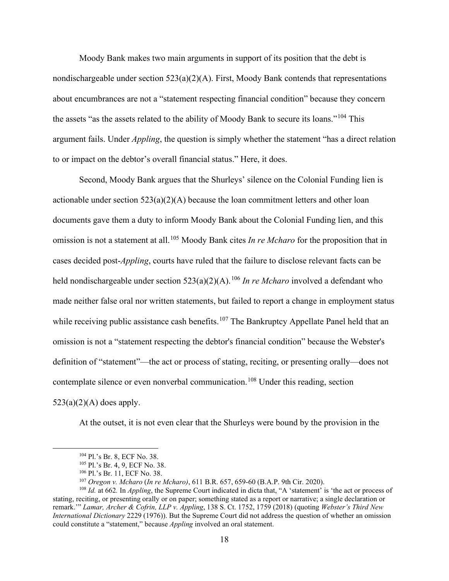Moody Bank makes two main arguments in support of its position that the debt is nondischargeable under section  $523(a)(2)(A)$ . First, Moody Bank contends that representations about encumbrances are not a "statement respecting financial condition" because they concern the assets "as the assets related to the ability of Moody Bank to secure its loans."[104](#page-17-0) This argument fails. Under *Appling*, the question is simply whether the statement "has a direct relation to or impact on the debtor's overall financial status." Here, it does.

Second, Moody Bank argues that the Shurleys' silence on the Colonial Funding lien is actionable under section  $523(a)(2)(A)$  because the loan commitment letters and other loan documents gave them a duty to inform Moody Bank about the Colonial Funding lien, and this omission is not a statement at all. [105](#page-17-1) Moody Bank cites *In re Mcharo* for the proposition that in cases decided post-*Appling*, courts have ruled that the failure to disclose relevant facts can be held nondischargeable under section 523(a)(2)(A).<sup>[106](#page-17-2)</sup> *In re Mcharo* involved a defendant who made neither false oral nor written statements, but failed to report a change in employment status while receiving public assistance cash benefits.<sup>[107](#page-17-3)</sup> The Bankruptcy Appellate Panel held that an omission is not a "statement respecting the debtor's financial condition" because the Webster's definition of "statement"—the act or process of stating, reciting, or presenting orally—does not contemplate silence or even nonverbal communication.<sup>[108](#page-17-4)</sup> Under this reading, section  $523(a)(2)(A)$  does apply.

At the outset, it is not even clear that the Shurleys were bound by the provision in the

<sup>104</sup> Pl.'s Br. 8, ECF No. 38.

<sup>105</sup> Pl.'s Br. 4, 9, ECF No. 38.

<sup>106</sup> Pl.'s Br. 11, ECF No. 38.

<sup>107</sup> *Oregon v. Mcharo* (*In re Mcharo)*, 611 B.R. 657, 659-60 (B.A.P. 9th Cir. 2020).

<span id="page-17-4"></span><span id="page-17-3"></span><span id="page-17-2"></span><span id="page-17-1"></span><span id="page-17-0"></span><sup>108</sup> *Id.* at 662*.* In *Appling*, the Supreme Court indicated in dicta that, "A 'statement' is 'the act or process of stating, reciting, or presenting orally or on paper; something stated as a report or narrative; a single declaration or remark.'" *Lamar, Archer & Cofrin, LLP v. Appling*, 138 S. Ct. 1752, 1759 (2018) (quoting *Webster's Third New International Dictionary* 2229 (1976)). But the Supreme Court did not address the question of whether an omission could constitute a "statement," because *Appling* involved an oral statement.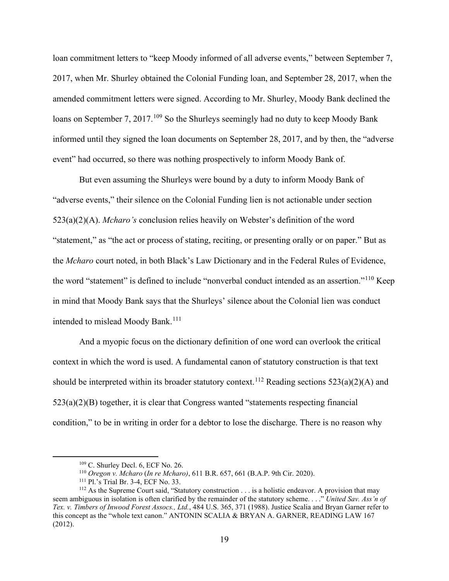loan commitment letters to "keep Moody informed of all adverse events," between September 7, 2017, when Mr. Shurley obtained the Colonial Funding loan, and September 28, 2017, when the amended commitment letters were signed. According to Mr. Shurley, Moody Bank declined the loans on September 7, 2017.<sup>[109](#page-18-0)</sup> So the Shurleys seemingly had no duty to keep Moody Bank informed until they signed the loan documents on September 28, 2017, and by then, the "adverse event" had occurred, so there was nothing prospectively to inform Moody Bank of.

But even assuming the Shurleys were bound by a duty to inform Moody Bank of "adverse events," their silence on the Colonial Funding lien is not actionable under section 523(a)(2)(A). *Mcharo's* conclusion relies heavily on Webster's definition of the word "statement," as "the act or process of stating, reciting, or presenting orally or on paper." But as the *Mcharo* court noted, in both Black's Law Dictionary and in the Federal Rules of Evidence, the word "statement" is defined to include "nonverbal conduct intended as an assertion."<sup>[110](#page-18-1)</sup> Keep in mind that Moody Bank says that the Shurleys' silence about the Colonial lien was conduct intended to mislead Moody Bank.<sup>[111](#page-18-2)</sup>

And a myopic focus on the dictionary definition of one word can overlook the critical context in which the word is used. A fundamental canon of statutory construction is that text should be interpreted within its broader statutory context.<sup>[112](#page-18-3)</sup> Reading sections  $523(a)(2)(A)$  and 523(a)(2)(B) together, it is clear that Congress wanted "statements respecting financial condition," to be in writing in order for a debtor to lose the discharge. There is no reason why

 $109$  C. Shurley Decl. 6, ECF No. 26.

<sup>110</sup> *Oregon v. Mcharo* (*In re Mcharo)*, 611 B.R. 657, 661 (B.A.P. 9th Cir. 2020).

<sup>111</sup> Pl.'s Trial Br. 3-4, ECF No. 33.

<span id="page-18-3"></span><span id="page-18-2"></span><span id="page-18-1"></span><span id="page-18-0"></span> $112$  As the Supreme Court said, "Statutory construction . . . is a holistic endeavor. A provision that may seem ambiguous in isolation is often clarified by the remainder of the statutory scheme. . . ." *United Sav. Ass'n of Tex. v. Timbers of Inwood Forest Assocs., Ltd.*, 484 U.S. 365, 371 (1988). Justice Scalia and Bryan Garner refer to this concept as the "whole text canon." ANTONIN SCALIA & BRYAN A. GARNER, READING LAW 167 (2012).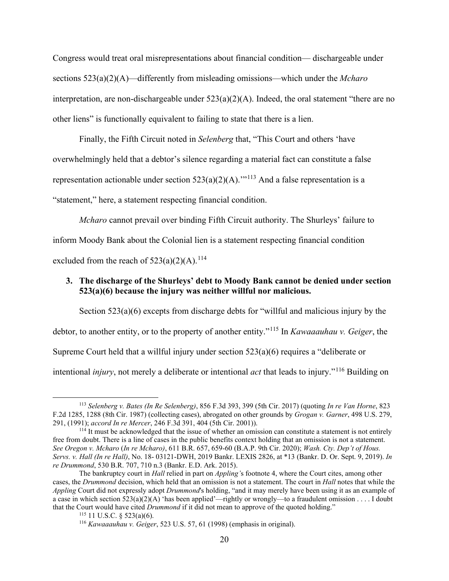Congress would treat oral misrepresentations about financial condition— dischargeable under sections 523(a)(2)(A)—differently from misleading omissions—which under the *Mcharo* interpretation, are non-dischargeable under 523(a)(2)(A). Indeed, the oral statement "there are no other liens" is functionally equivalent to failing to state that there is a lien.

Finally, the Fifth Circuit noted in *Selenberg* that, "This Court and others 'have overwhelmingly held that a debtor's silence regarding a material fact can constitute a false representation actionable under section  $523(a)(2)(A)$ .'"<sup>[113](#page-19-0)</sup> And a false representation is a "statement," here, a statement respecting financial condition.

*Mcharo* cannot prevail over binding Fifth Circuit authority. The Shurleys' failure to inform Moody Bank about the Colonial lien is a statement respecting financial condition excluded from the reach of  $523(a)(2)(A)$ .<sup>[114](#page-19-1)</sup>

## **3. The discharge of the Shurleys' debt to Moody Bank cannot be denied under section 523(a)(6) because the injury was neither willful nor malicious.**

Section 523(a)(6) excepts from discharge debts for "willful and malicious injury by the debtor, to another entity, or to the property of another entity."[115](#page-19-2) In *Kawaaauhau v. Geiger*, the Supreme Court held that a willful injury under section 523(a)(6) requires a "deliberate or intentional *injury*, not merely a deliberate or intentional *act* that leads to injury."[116](#page-19-3) Building on

<span id="page-19-0"></span><sup>113</sup> *Selenberg v. Bates (In Re Selenberg)*, 856 F.3d 393, 399 (5th Cir. 2017) (quoting *In re Van Horne*, 823 F.2d 1285, 1288 (8th Cir. 1987) (collecting cases), abrogated on other grounds by *Grogan v. Garner*, 498 U.S. 279, 291, (1991); *accord In re Mercer*, 246 F.3d 391, 404 (5th Cir. 2001)).<br><sup>114</sup> It must be acknowledged that the issue of whether an omission can constitute a statement is not entirely

<span id="page-19-1"></span>free from doubt. There is a line of cases in the public benefits context holding that an omission is not a statement. *See Oregon v. Mcharo* (*In re Mcharo)*, 611 B.R. 657, 659-60 (B.A.P. 9th Cir. 2020); *Wash. Cty. Dep't of Hous. Servs. v. Hall (In re Hall)*, No. 18- 03121-DWH, 2019 Bankr. LEXIS 2826, at \*13 (Bankr. D. Or. Sept. 9, 2019). *In re Drummond*, 530 B.R. 707, 710 n.3 (Bankr. E.D. Ark. 2015).

<span id="page-19-3"></span><span id="page-19-2"></span>The bankruptcy court in *Hall* relied in part on *Appling'*s footnote 4, where the Court cites, among other cases, the *Drummond* decision, which held that an omission is not a statement. The court in *Hall* notes that while the *Appling* Court did not expressly adopt *Drummond*'s holding, "and it may merely have been using it as an example of a case in which section  $523(a)(2)(A)$  'has been applied'—rightly or wrongly—to a fraudulent omission . . . . I doubt that the Court would have cited *Drummond* if it did not mean to approve of the quoted holding." <sup>115</sup> 11 U.S.C. § 523(a)(6).

<sup>116</sup> *Kawaaauhau v. Geiger*, 523 U.S. 57, 61 (1998) (emphasis in original).